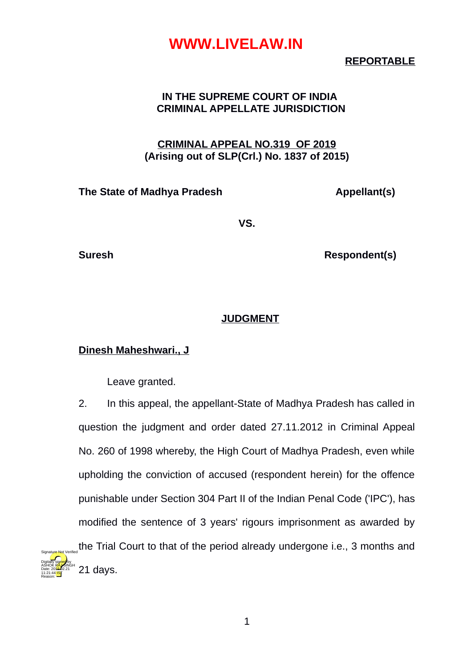#### **REPORTABLE**

#### **IN THE SUPREME COURT OF INDIA CRIMINAL APPELLATE JURISDICTION**

#### **CRIMINAL APPEAL NO.319 OF 2019 (Arising out of SLP(Crl.) No. 1837 of 2015)**

#### **The State of Madhya Pradesh Appellant(s)**

**VS.**

Digitally signed by

Date: 2010.02.21 11:21:44 IST Reason:

**Suresh Respondent(s)** 

#### **JUDGMENT**

#### **Dinesh Maheshwari., J**

Leave granted.

2. In this appeal, the appellant-State of Madhya Pradesh has called in question the judgment and order dated 27.11.2012 in Criminal Appeal No. 260 of 1998 whereby, the High Court of Madhya Pradesh, even while upholding the conviction of accused (respondent herein) for the offence punishable under Section 304 Part II of the Indian Penal Code ('IPC'), has modified the sentence of 3 years' rigours imprisonment as awarded by the Trial Court to that of the period already undergone i.e., 3 months and 21 days. ASHOK RAJ SINGH Signature Not Verified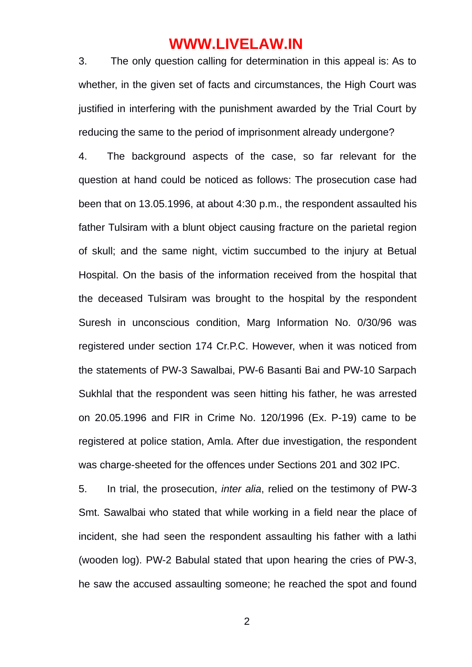3. The only question calling for determination in this appeal is: As to whether, in the given set of facts and circumstances, the High Court was justified in interfering with the punishment awarded by the Trial Court by reducing the same to the period of imprisonment already undergone?

4. The background aspects of the case, so far relevant for the question at hand could be noticed as follows: The prosecution case had been that on 13.05.1996, at about 4:30 p.m., the respondent assaulted his father Tulsiram with a blunt object causing fracture on the parietal region of skull; and the same night, victim succumbed to the injury at Betual Hospital. On the basis of the information received from the hospital that the deceased Tulsiram was brought to the hospital by the respondent Suresh in unconscious condition, Marg Information No. 0/30/96 was registered under section 174 Cr.P.C. However, when it was noticed from the statements of PW-3 Sawalbai, PW-6 Basanti Bai and PW-10 Sarpach Sukhlal that the respondent was seen hitting his father, he was arrested on 20.05.1996 and FIR in Crime No. 120/1996 (Ex. P-19) came to be registered at police station, Amla. After due investigation, the respondent was charge-sheeted for the offences under Sections 201 and 302 IPC.

5. In trial, the prosecution, *inter alia*, relied on the testimony of PW-3 Smt. Sawalbai who stated that while working in a field near the place of incident, she had seen the respondent assaulting his father with a lathi (wooden log). PW-2 Babulal stated that upon hearing the cries of PW-3, he saw the accused assaulting someone; he reached the spot and found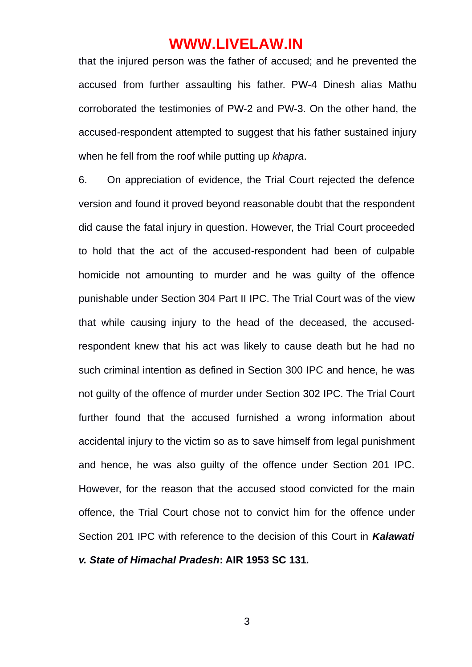that the injured person was the father of accused; and he prevented the accused from further assaulting his father. PW-4 Dinesh alias Mathu corroborated the testimonies of PW-2 and PW-3. On the other hand, the accused-respondent attempted to suggest that his father sustained injury when he fell from the roof while putting up *khapra*.

6. On appreciation of evidence, the Trial Court rejected the defence version and found it proved beyond reasonable doubt that the respondent did cause the fatal injury in question. However, the Trial Court proceeded to hold that the act of the accused-respondent had been of culpable homicide not amounting to murder and he was guilty of the offence punishable under Section 304 Part II IPC. The Trial Court was of the view that while causing injury to the head of the deceased, the accusedrespondent knew that his act was likely to cause death but he had no such criminal intention as defined in Section 300 IPC and hence, he was not guilty of the offence of murder under Section 302 IPC. The Trial Court further found that the accused furnished a wrong information about accidental injury to the victim so as to save himself from legal punishment and hence, he was also guilty of the offence under Section 201 IPC. However, for the reason that the accused stood convicted for the main offence, the Trial Court chose not to convict him for the offence under Section 201 IPC with reference to the decision of this Court in *Kalawati v. State of Himachal Pradesh***: AIR 1953 SC 131***.*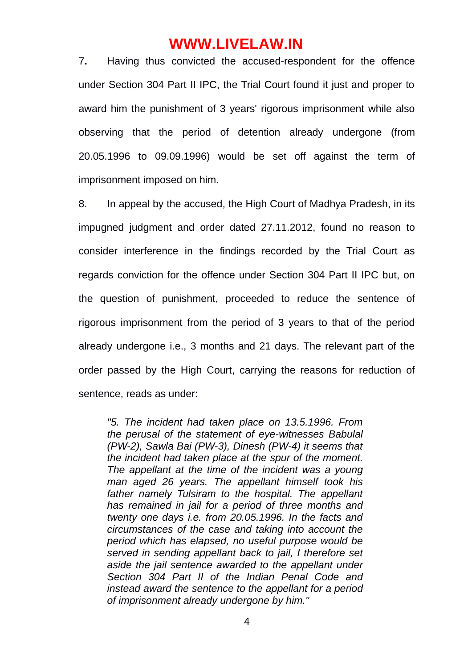7**.** Having thus convicted the accused-respondent for the offence under Section 304 Part II IPC, the Trial Court found it just and proper to award him the punishment of 3 years' rigorous imprisonment while also observing that the period of detention already undergone (from 20.05.1996 to 09.09.1996) would be set off against the term of imprisonment imposed on him.

8. In appeal by the accused, the High Court of Madhya Pradesh, in its impugned judgment and order dated 27.11.2012, found no reason to consider interference in the findings recorded by the Trial Court as regards conviction for the offence under Section 304 Part II IPC but, on the question of punishment, proceeded to reduce the sentence of rigorous imprisonment from the period of 3 years to that of the period already undergone i.e., 3 months and 21 days. The relevant part of the order passed by the High Court, carrying the reasons for reduction of sentence, reads as under:

*"5. The incident had taken place on 13.5.1996. From the perusal of the statement of eye-witnesses Babulal (PW-2), Sawla Bai (PW-3), Dinesh (PW-4) it seems that the incident had taken place at the spur of the moment. The appellant at the time of the incident was a young man aged 26 years. The appellant himself took his father namely Tulsiram to the hospital. The appellant has remained in jail for a period of three months and twenty one days i.e. from 20.05.1996. In the facts and circumstances of the case and taking into account the period which has elapsed, no useful purpose would be served in sending appellant back to jail, I therefore set aside the jail sentence awarded to the appellant under Section 304 Part II of the Indian Penal Code and instead award the sentence to the appellant for a period of imprisonment already undergone by him."*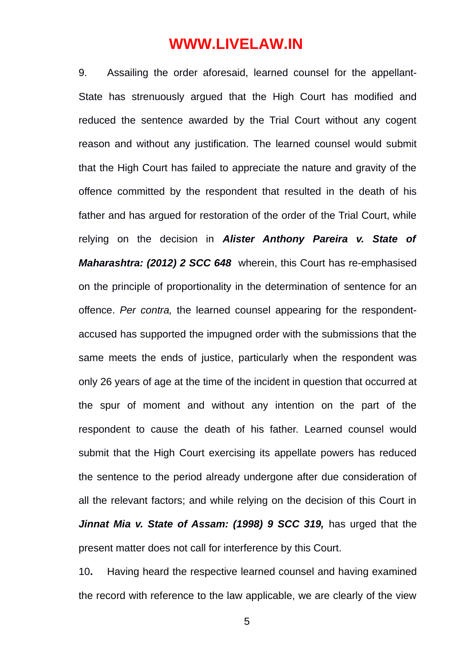9. Assailing the order aforesaid, learned counsel for the appellant-State has strenuously argued that the High Court has modified and reduced the sentence awarded by the Trial Court without any cogent reason and without any justification. The learned counsel would submit that the High Court has failed to appreciate the nature and gravity of the offence committed by the respondent that resulted in the death of his father and has argued for restoration of the order of the Trial Court, while relying on the decision in *Alister Anthony Pareira v. State of Maharashtra: (2012) 2 SCC 648*wherein, this Court has re-emphasised on the principle of proportionality in the determination of sentence for an offence. *Per contra,* the learned counsel appearing for the respondentaccused has supported the impugned order with the submissions that the same meets the ends of justice, particularly when the respondent was only 26 years of age at the time of the incident in question that occurred at the spur of moment and without any intention on the part of the respondent to cause the death of his father. Learned counsel would submit that the High Court exercising its appellate powers has reduced the sentence to the period already undergone after due consideration of all the relevant factors; and while relying on the decision of this Court in *Jinnat Mia v. State of Assam: (1998) 9 SCC 319,* has urged that the present matter does not call for interference by this Court.

10**.** Having heard the respective learned counsel and having examined the record with reference to the law applicable, we are clearly of the view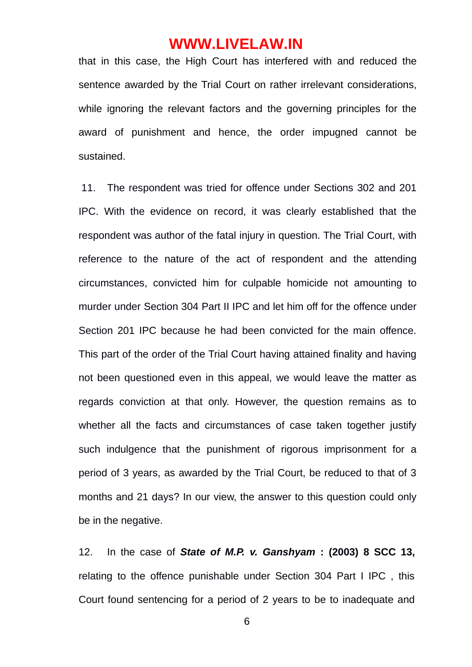that in this case, the High Court has interfered with and reduced the sentence awarded by the Trial Court on rather irrelevant considerations, while ignoring the relevant factors and the governing principles for the award of punishment and hence, the order impugned cannot be sustained.

 11. The respondent was tried for offence under Sections 302 and 201 IPC. With the evidence on record, it was clearly established that the respondent was author of the fatal injury in question. The Trial Court, with reference to the nature of the act of respondent and the attending circumstances, convicted him for culpable homicide not amounting to murder under Section 304 Part II IPC and let him off for the offence under Section 201 IPC because he had been convicted for the main offence. This part of the order of the Trial Court having attained finality and having not been questioned even in this appeal, we would leave the matter as regards conviction at that only. However, the question remains as to whether all the facts and circumstances of case taken together justify such indulgence that the punishment of rigorous imprisonment for a period of 3 years, as awarded by the Trial Court, be reduced to that of 3 months and 21 days? In our view, the answer to this question could only be in the negative.

12. In the case of *State of M.P. v. Ganshyam* **: (2003) 8 SCC 13,** relating to the offence punishable under Section 304 Part I IPC , this Court found sentencing for a period of 2 years to be to inadequate and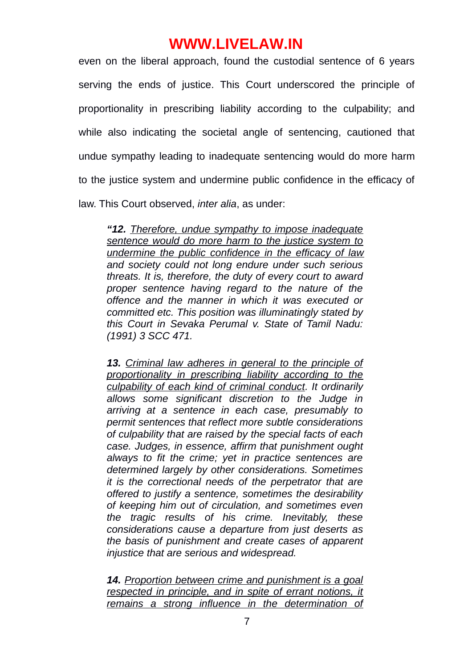even on the liberal approach, found the custodial sentence of 6 years serving the ends of justice. This Court underscored the principle of proportionality in prescribing liability according to the culpability; and while also indicating the societal angle of sentencing, cautioned that undue sympathy leading to inadequate sentencing would do more harm to the justice system and undermine public confidence in the efficacy of law. This Court observed, *inter alia*, as under:

*"12. Therefore, undue sympathy to impose inadequate sentence would do more harm to the justice system to undermine the public confidence in the efficacy of law and society could not long endure under such serious threats. It is, therefore, the duty of every court to award proper sentence having regard to the nature of the offence and the manner in which it was executed or committed etc. This position was illuminatingly stated by this Court in Sevaka Perumal v. State of Tamil Nadu: (1991) 3 SCC 471.*

*13. Criminal law adheres in general to the principle of proportionality in prescribing liability according to the culpability of each kind of criminal conduct. It ordinarily allows some significant discretion to the Judge in arriving at a sentence in each case, presumably to permit sentences that reflect more subtle considerations of culpability that are raised by the special facts of each case. Judges, in essence, affirm that punishment ought always to fit the crime; yet in practice sentences are determined largely by other considerations. Sometimes it is the correctional needs of the perpetrator that are offered to justify a sentence, sometimes the desirability of keeping him out of circulation, and sometimes even the tragic results of his crime. Inevitably, these considerations cause a departure from just deserts as the basis of punishment and create cases of apparent injustice that are serious and widespread.*

*14. Proportion between crime and punishment is a goal respected in principle, and in spite of errant notions, it remains a strong influence in the determination of*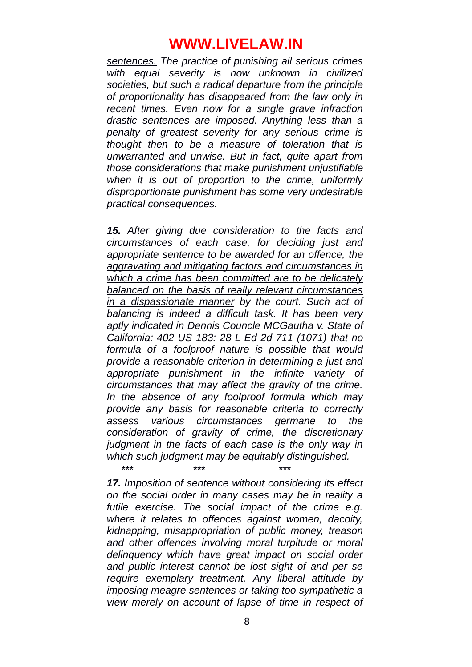*sentences. The practice of punishing all serious crimes with equal severity is now unknown in civilized societies, but such a radical departure from the principle of proportionality has disappeared from the law only in recent times. Even now for a single grave infraction drastic sentences are imposed. Anything less than a penalty of greatest severity for any serious crime is thought then to be a measure of toleration that is unwarranted and unwise. But in fact, quite apart from those considerations that make punishment unjustifiable when it is out of proportion to the crime, uniformly disproportionate punishment has some very undesirable practical consequences.*

*15. After giving due consideration to the facts and circumstances of each case, for deciding just and appropriate sentence to be awarded for an offence, the aggravating and mitigating factors and circumstances in which a crime has been committed are to be delicately balanced on the basis of really relevant circumstances in a dispassionate manner by the court. Such act of balancing is indeed a difficult task. It has been very aptly indicated in Dennis Councle MCGautha v. State of California: 402 US 183: 28 L Ed 2d 711 (1071) that no formula of a foolproof nature is possible that would provide a reasonable criterion in determining a just and appropriate punishment in the infinite variety of circumstances that may affect the gravity of the crime. In the absence of any foolproof formula which may provide any basis for reasonable criteria to correctly assess various circumstances germane to the consideration of gravity of crime, the discretionary judgment in the facts of each case is the only way in which such judgment may be equitably distinguished.*

*17. Imposition of sentence without considering its effect on the social order in many cases may be in reality a futile exercise. The social impact of the crime e.g. where it relates to offences against women, dacoity, kidnapping, misappropriation of public money, treason and other offences involving moral turpitude or moral delinquency which have great impact on social order and public interest cannot be lost sight of and per se require exemplary treatment. Any liberal attitude by imposing meagre sentences or taking too sympathetic a view merely on account of lapse of time in respect of*

*\*\*\* \*\*\* \*\*\**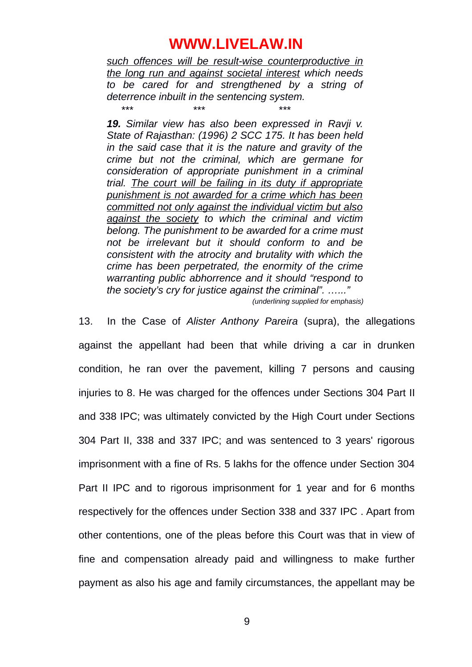*such offences will be result-wise counterproductive in the long run and against societal interest which needs to be cared for and strengthened by a string of deterrence inbuilt in the sentencing system.*

*\*\*\* \*\*\* \*\*\**

*19. Similar view has also been expressed in Ravji v. State of Rajasthan: (1996) 2 SCC 175. It has been held in the said case that it is the nature and gravity of the crime but not the criminal, which are germane for consideration of appropriate punishment in a criminal trial. The court will be failing in its duty if appropriate punishment is not awarded for a crime which has been committed not only against the individual victim but also against the society to which the criminal and victim belong. The punishment to be awarded for a crime must not be irrelevant but it should conform to and be consistent with the atrocity and brutality with which the crime has been perpetrated, the enormity of the crime warranting public abhorrence and it should "respond to the society's cry for justice against the criminal". …..."*

*(underlining supplied for emphasis)*

13. In the Case of *Alister Anthony Pareira* (supra), the allegations against the appellant had been that while driving a car in drunken condition, he ran over the pavement, killing 7 persons and causing injuries to 8. He was charged for the offences under Sections 304 Part II and 338 IPC; was ultimately convicted by the High Court under Sections 304 Part II, 338 and 337 IPC; and was sentenced to 3 years' rigorous imprisonment with a fine of Rs. 5 lakhs for the offence under Section 304 Part II IPC and to rigorous imprisonment for 1 year and for 6 months respectively for the offences under Section 338 and 337 IPC . Apart from other contentions, one of the pleas before this Court was that in view of fine and compensation already paid and willingness to make further payment as also his age and family circumstances, the appellant may be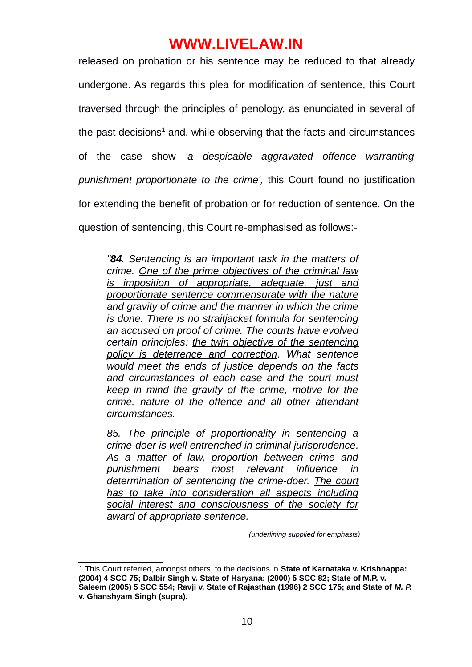released on probation or his sentence may be reduced to that already undergone. As regards this plea for modification of sentence, this Court traversed through the principles of penology, as enunciated in several of the past decisions $^1$  and, while observing that the facts and circumstances of the case show *'a despicable aggravated offence warranting punishment proportionate to the crime',* this Court found no justification for extending the benefit of probation or for reduction of sentence. On the question of sentencing, this Court re-emphasised as follows:-

*"84. Sentencing is an important task in the matters of crime. One of the prime objectives of the criminal law is imposition of appropriate, adequate, just and proportionate sentence commensurate with the nature and gravity of crime and the manner in which the crime is done. There is no straitjacket formula for sentencing an accused on proof of crime. The courts have evolved certain principles: the twin objective of the sentencing policy is deterrence and correction. What sentence would meet the ends of justice depends on the facts and circumstances of each case and the court must keep in mind the gravity of the crime, motive for the crime, nature of the offence and all other attendant circumstances.*

*85. The principle of proportionality in sentencing a crime-doer is well entrenched in criminal jurisprudence. As a matter of law, proportion between crime and punishment bears most relevant influence in determination of sentencing the crime-doer. The court has to take into consideration all aspects including social interest and consciousness of the society for award of appropriate sentence.*

 *(underlining supplied for emphasis)*

<sup>1</sup> This Court referred, amongst others, to the decisions in **State of Karnataka v. Krishnappa: (2004) 4 SCC 75; Dalbir Singh v. State of Haryana: (2000) 5 SCC 82; State of M.P. v. Saleem (2005) 5 SCC 554; Ravji v. State of Rajasthan (1996) 2 SCC 175; and State of** *M. P.*  **v. Ghanshyam Singh (supra).**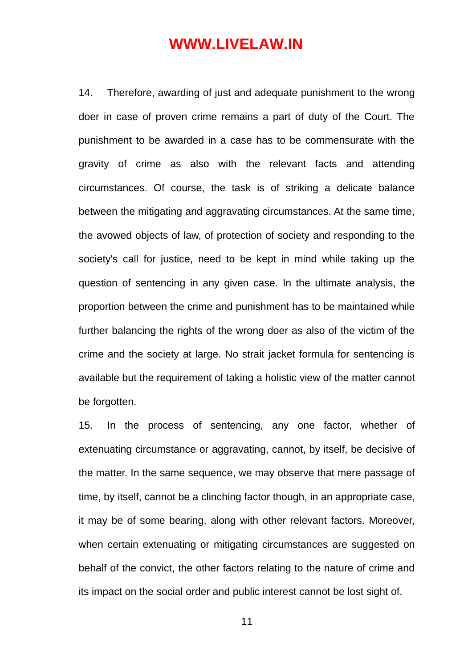14. Therefore, awarding of just and adequate punishment to the wrong doer in case of proven crime remains a part of duty of the Court. The punishment to be awarded in a case has to be commensurate with the gravity of crime as also with the relevant facts and attending circumstances. Of course, the task is of striking a delicate balance between the mitigating and aggravating circumstances. At the same time, the avowed objects of law, of protection of society and responding to the society's call for justice, need to be kept in mind while taking up the question of sentencing in any given case. In the ultimate analysis, the proportion between the crime and punishment has to be maintained while further balancing the rights of the wrong doer as also of the victim of the crime and the society at large. No strait jacket formula for sentencing is available but the requirement of taking a holistic view of the matter cannot be forgotten.

15. In the process of sentencing, any one factor, whether of extenuating circumstance or aggravating, cannot, by itself, be decisive of the matter. In the same sequence, we may observe that mere passage of time, by itself, cannot be a clinching factor though, in an appropriate case, it may be of some bearing, along with other relevant factors. Moreover, when certain extenuating or mitigating circumstances are suggested on behalf of the convict, the other factors relating to the nature of crime and its impact on the social order and public interest cannot be lost sight of.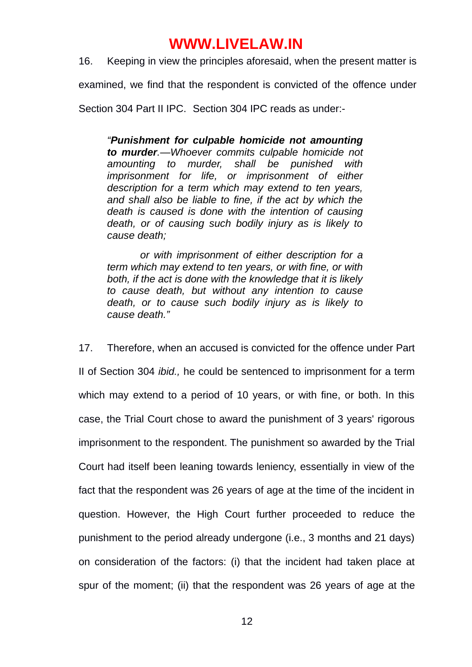16. Keeping in view the principles aforesaid, when the present matter is

examined, we find that the respondent is convicted of the offence under

Section 304 Part II IPC. Section 304 IPC reads as under:-

*"Punishment for culpable homicide not amounting to murder.—Whoever commits culpable homicide not amounting to murder, shall be punished with imprisonment for life, or imprisonment of either description for a term which may extend to ten years, and shall also be liable to fine, if the act by which the death is caused is done with the intention of causing death, or of causing such bodily injury as is likely to cause death;*

 *or with imprisonment of either description for a term which may extend to ten years, or with fine, or with both, if the act is done with the knowledge that it is likely to cause death, but without any intention to cause death, or to cause such bodily injury as is likely to cause death."*

17. Therefore, when an accused is convicted for the offence under Part II of Section 304 *ibid.,* he could be sentenced to imprisonment for a term which may extend to a period of 10 years, or with fine, or both. In this case, the Trial Court chose to award the punishment of 3 years' rigorous imprisonment to the respondent. The punishment so awarded by the Trial Court had itself been leaning towards leniency, essentially in view of the fact that the respondent was 26 years of age at the time of the incident in question. However, the High Court further proceeded to reduce the punishment to the period already undergone (i.e., 3 months and 21 days) on consideration of the factors: (i) that the incident had taken place at spur of the moment; (ii) that the respondent was 26 years of age at the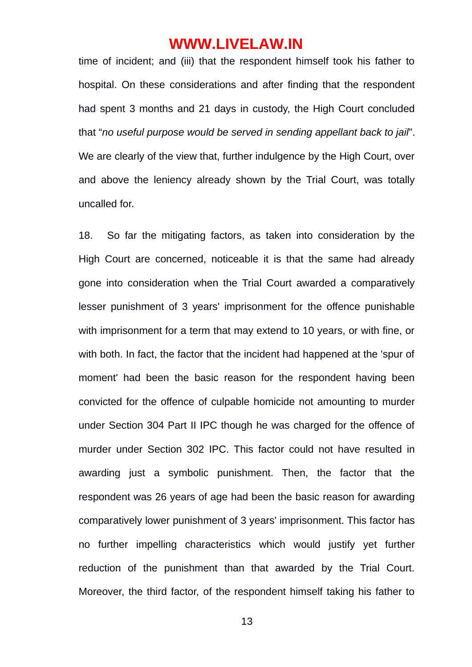time of incident; and (iii) that the respondent himself took his father to hospital. On these considerations and after finding that the respondent had spent 3 months and 21 days in custody, the High Court concluded that "*no useful purpose would be served in sending appellant back to jail*". We are clearly of the view that, further indulgence by the High Court, over and above the leniency already shown by the Trial Court, was totally uncalled for.

18. So far the mitigating factors, as taken into consideration by the High Court are concerned, noticeable it is that the same had already gone into consideration when the Trial Court awarded a comparatively lesser punishment of 3 years' imprisonment for the offence punishable with imprisonment for a term that may extend to 10 years, or with fine, or with both. In fact, the factor that the incident had happened at the 'spur of moment' had been the basic reason for the respondent having been convicted for the offence of culpable homicide not amounting to murder under Section 304 Part II IPC though he was charged for the offence of murder under Section 302 IPC. This factor could not have resulted in awarding just a symbolic punishment. Then, the factor that the respondent was 26 years of age had been the basic reason for awarding comparatively lower punishment of 3 years' imprisonment. This factor has no further impelling characteristics which would justify yet further reduction of the punishment than that awarded by the Trial Court. Moreover, the third factor, of the respondent himself taking his father to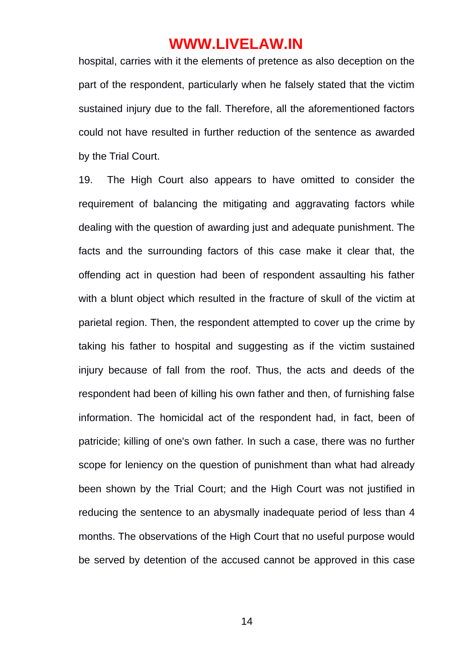hospital, carries with it the elements of pretence as also deception on the part of the respondent, particularly when he falsely stated that the victim sustained injury due to the fall. Therefore, all the aforementioned factors could not have resulted in further reduction of the sentence as awarded by the Trial Court.

19. The High Court also appears to have omitted to consider the requirement of balancing the mitigating and aggravating factors while dealing with the question of awarding just and adequate punishment. The facts and the surrounding factors of this case make it clear that, the offending act in question had been of respondent assaulting his father with a blunt object which resulted in the fracture of skull of the victim at parietal region. Then, the respondent attempted to cover up the crime by taking his father to hospital and suggesting as if the victim sustained injury because of fall from the roof. Thus, the acts and deeds of the respondent had been of killing his own father and then, of furnishing false information. The homicidal act of the respondent had, in fact, been of patricide; killing of one's own father. In such a case, there was no further scope for leniency on the question of punishment than what had already been shown by the Trial Court; and the High Court was not justified in reducing the sentence to an abysmally inadequate period of less than 4 months. The observations of the High Court that no useful purpose would be served by detention of the accused cannot be approved in this case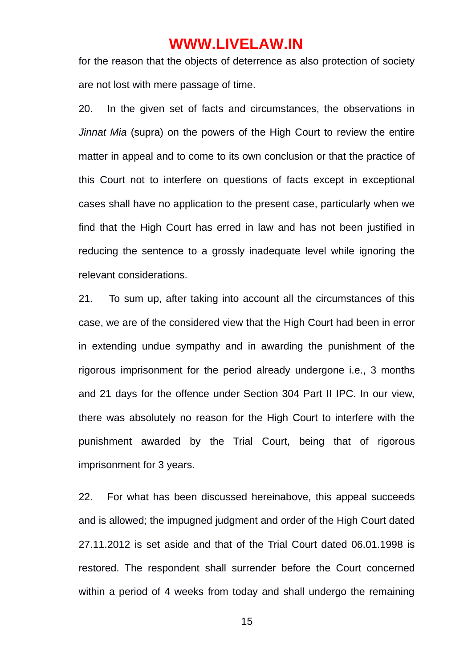for the reason that the objects of deterrence as also protection of society are not lost with mere passage of time.

20. In the given set of facts and circumstances, the observations in *Jinnat Mia* (supra) on the powers of the High Court to review the entire matter in appeal and to come to its own conclusion or that the practice of this Court not to interfere on questions of facts except in exceptional cases shall have no application to the present case, particularly when we find that the High Court has erred in law and has not been justified in reducing the sentence to a grossly inadequate level while ignoring the relevant considerations.

21. To sum up, after taking into account all the circumstances of this case, we are of the considered view that the High Court had been in error in extending undue sympathy and in awarding the punishment of the rigorous imprisonment for the period already undergone i.e., 3 months and 21 days for the offence under Section 304 Part II IPC. In our view, there was absolutely no reason for the High Court to interfere with the punishment awarded by the Trial Court, being that of rigorous imprisonment for 3 years.

22. For what has been discussed hereinabove, this appeal succeeds and is allowed; the impugned judgment and order of the High Court dated 27.11.2012 is set aside and that of the Trial Court dated 06.01.1998 is restored. The respondent shall surrender before the Court concerned within a period of 4 weeks from today and shall undergo the remaining